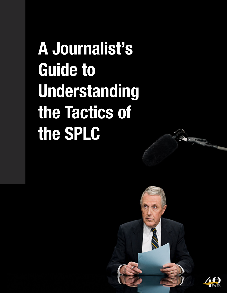**A Journalist's Guide to Understanding the Tactics of the SPLC**



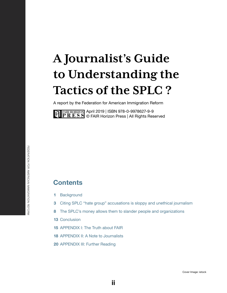# **A Journalist's Guide to Understanding the Tactics of the SPLC ?**

A report by the Federation for American Immigration Reform

April 2019 | ISBN 978-0-9978627-9-9 © FAIR Horizon Press | All Rights Reserved

## **Contents**

- **1** [Background](#page-2-0)
- **3** [Citing SPLC "hate group" accusations is sloppy and unethical journalism](#page-4-0)
- **8** [The SPLC's money allows them to slander people and organizations](#page-9-0)
- **13** [Conclusion](#page-14-0)
- **15** [APPENDIX I: The Truth about FAIR](#page-16-0)
- **18** [APPENDIX II: A Note to Journalists](#page-19-0)
- **20** [APPENDIX III: Further Reading](#page-21-0)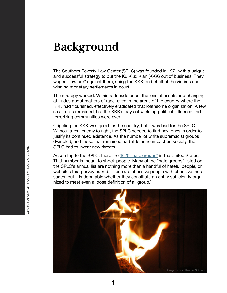## <span id="page-2-0"></span>**Background**

The Southern Poverty Law Center (SPLC) was founded in 1971 with a unique and successful strategy to put the Ku Klux Klan (KKK) out of business. They waged "lawfare" against them, suing the KKK on behalf of the victims and winning monetary settlements in court.

The strategy worked. Within a decade or so, the loss of assets and changing attitudes about matters of race, even in the areas of the country where the KKK had flourished, effectively eradicated that loathsome organization. A few small cells remained, but the KKK's days of wielding political influence and terrorizing communities were over.

Crippling the KKK was good for the country, but it was bad for the SPLC. Without a real enemy to fight, the SPLC needed to find new ones in order to justify its continued existence. As the number of white supremacist groups dwindled, and those that remained had little or no impact on society, the SPLC had to invent new threats.

According to the SPLC, there are [1020 "hate groups"](https://www.splcenter.org/sites/default/files/intelligence_report_166.pdf) in the United States. That number is meant to shock people. Many of the "hate groups" listed on the SPLC's annual list are nothing more than a handful of hateful people, or websites that purvey hatred. These are offensive people with offensive messages, but it is debatable whether they constitute an entity sufficiently organized to meet even a loose definition of a "group."



**1**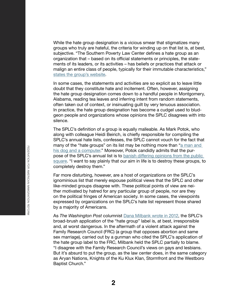While the hate group designation is a vicious smear that stigmatizes many groups who truly are hateful, the criteria for winding up on that list is, at best, subjective. "The Southern Poverty Law Center defines a hate group as an organization that – based on its official statements or principles, the statements of its leaders, or its activities – has beliefs or practices that attack or malign an entire class of people, typically for their immutable characteristics," [states the group's website.](https://www.splcenter.org/20171004/frequently-asked-questions-about-hate-groups)

In some cases, the statements and activities are so explicit as to leave little doubt that they constitute hate and incitement. Often, however, assigning the hate group designation comes down to a handful people in Montgomery, Alabama, reading tea leaves and inferring intent from random statements, often taken out of context, or insinuating guilt by very tenuous association. In practice, the hate group designation has become a cudgel used to bludgeon people and organizations whose opinions the SPLC disagrees with into silence.

The SPLC's definition of a group is equally malleable. As Mark Potok, who along with colleague Heidi Beirich, is chiefly responsible for compiling the SPLC's annual hate lists, confesses, the SPLC cannot vouch for the fact that many of the "hate groups" on its list may be nothing more than "a man and [his dog and a computer.](https://www.weeklystandard.com/charlotte-allen/king-of-fearmongers)" Moreover, Potok candidly admits that the purpose of the SPLC's annual list is to [banish differing opinions from the public](https://www.philanthropyroundtable.org/philanthropy-magazine/article/some-people-love-to-call-names)  [square](https://www.philanthropyroundtable.org/philanthropy-magazine/article/some-people-love-to-call-names). "I want to say plainly that our aim in life is to destroy these groups, to completely destroy them."

Far more disturbing, however, are a host of organizations on the SPLC's ignominious list that merely espouse political views that the SPLC and other like-minded groups disagree with. These political points of view are neither motivated by hatred for any particular group of people, nor are they on the political fringes of American society. In some cases, the viewpoints expressed by organizations on the SPLC's hate list represent those shared by a majority of Americans.

As *The Washington Post* columnist [Dana Milbank wrote in 2012,](https://www.washingtonpost.com/opinions/dana-milbank-hateful-speech-on-hate-groups/2012/08/16/70a60ac6-e7e8-11e1-8487-64e4b2a79ba8_story.html?noredirect=on&utm_term=.0d3f377d832d) the SPLC's broad-brush application of the "hate group" label is, at best, irresponsible and, at worst dangerous. In the aftermath of a violent attack against the Family Research Council (FRC) (a group that opposes abortion and same sex marriage), carried out by a gunman who cited the SPLC's application of the hate group label to the FRC, Milbank held the SPLC partially to blame. "I disagree with the Family Research Council's views on gays and lesbians. But it's absurd to put the group, as the law center does, in the same category as Aryan Nations, Knights of the Ku Klux Klan, Stormfront and the Westboro Baptist Church."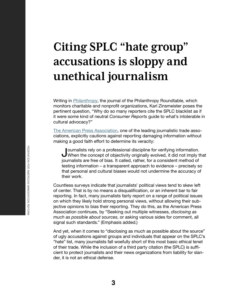# <span id="page-4-0"></span>**Citing SPLC "hate group" accusations is sloppy and unethical journalism**

Writing in *[Philanthropy](https://www.philanthropyroundtable.org/philanthropy-magazine/article/some-people-love-to-call-names)*, the journal of the Philanthropy Roundtable, which monitors charitable and nonprofit organizations, Karl Zinsmeister poses the pertinent question, "Why do so many reporters cite the SPLC blacklist as if it were some kind of neutral *Consumer Reports* guide to what's intolerable in cultural advocacy?"

[The American Press Association](https://americanpressassociation.com/principles-of-journalism/), one of the leading journalistic trade associations, explicitly cautions against reporting damaging information without making a good faith effort to determine its veracity:

Journalists rely on a professional discipline for verifying information.<br>When the concept of objectivity originally evolved, it did not imply that<br>intendints are free of bias. It called, rather for a consistent method of journalists are free of bias. It called, rather, for a consistent method of testing information – a transparent approach to evidence – precisely so that personal and cultural biases would not undermine the accuracy of their work.

Countless surveys indicate that journalists' political views tend to skew left of center. That is by no means a disqualification, or an inherent bar to fair reporting. In fact, many journalists fairly report on a range of political issues on which they likely hold strong personal views, without allowing their subjective opinions to bias their reporting. They do this, as the American Press Association continues, by "Seeking out multiple witnesses, *disclosing as much as possible about sources*, or asking various sides for comment, all signal such standards." (Emphasis added.)

And yet, when it comes to "disclosing as much as possible about the source" of ugly accusations against groups and individuals that appear on the SPLC's "hate" list, many journalists fall woefully short of this most basic ethical tenet of their trade. While the inclusion of a third party citation (the SPLC) is sufficient to protect journalists and their news organizations from liability for slander, it is not an ethical defense.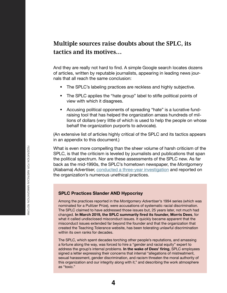## **Multiple sources raise doubts about the SPLC, its tactics and its motives…**

And they are really not hard to find. A simple Google search locates dozens of articles, written by reputable journalists, appearing in leading news journals that all reach the same conclusion:

- The SPLC's labeling practices are reckless and highly subjective.
- The SPLC applies the "hate group" label to stifle political points of view with which it disagrees.
- Accusing political opponents of spreading "hate" is a lucrative fundraising tool that has helped the organization amass hundreds of millions of dollars (very little of which is used to help the people on whose behalf the organization purports to advocate).

(An extensive list of articles highly critical of the SPLC and its tactics appears in an appendix to this document.)

What is even more compelling than the sheer volume of harsh criticism of the SPLC, is that the criticism is leveled by journalists and publications that span the political spectrum. Nor are these assessments of the SPLC new. As far back as the mid-1990s, the SPLC's hometown newspaper, the *Montgomery*  (Alabama) *Advertiser*, [conducted a three-year investigation](http://niemanwatchdog.org/index.cfm?fuseaction=about.Panel%20Discussion:%20Nonprofit%20Organizations%20May%2099&emailthis=sendtoafriend) and reported on the organization's numerous unethical practices.

### **SPLC Practices Slander AND Hypocrisy**

Among the practices reported in the *Montgomery Advertiser*'s 1994 series (which was nominated for a Pulitzer Prize), were accusations of systematic racial discrimination. The SPLC claimed to have addressed those issues but, 25 years later, not much had changed. **In March 2019, the SPLC summarily fired its founder, Morris Dees**, for what it called undisclosed misconduct issues. It quickly became apparent that the misconduct issues extended far beyond the founder and that the organization that created the Teaching Tolerance website, has been tolerating unlawful discrimination within its own ranks for decades.

The SPLC, which spent decades torching other people's reputations, and amassing a fortune along the way, was forced to hire a "gender and racial equity" expert to address the group's internal problems. **In the wake of Dees' firing**, SPLC employees signed a letter expressing their concerns that internal "allegations of mistreatment, sexual harassment, gender discrimination, and racism threaten the moral authority of this organization and our integrity along with it," and describing the work atmosphere as "toxic."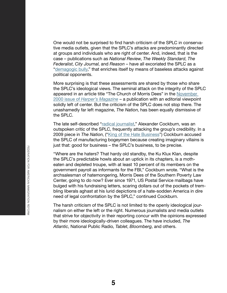One would not be surprised to find harsh criticism of the SPLC in conservative media outlets, given that the SPLC's attacks are predominantly directed at groups and individuals who are right of center. And, indeed, that is the case – publications such as *National Review*, *The Weekly Standard*, *The Federalist*, *City Journal*, and *Reason* – have all excoriated the SPLC as a ["demagogic bully](https://www.city-journal.org/html/demagogic-bully-15370.html)," that enriches itself by means of baseless attacks against political opponents.

More surprising is that these assessments are shared by those who share the SPLC's ideological views. The seminal attack on the integrity of the SPLC appeared in an article title "The Church of Morris Dees" in the [November](http://web.archive.org/web/20161204160604/http:/www.americanpatrol.com/SPLC/ChurchofMorrisDees001100.html)  2000 issue of *[Harper's Magazine](http://web.archive.org/web/20161204160604/http:/www.americanpatrol.com/SPLC/ChurchofMorrisDees001100.html)* – a publication with an editorial viewpoint solidly left of center. But the criticism of the SPLC does not stop there. The unashamedly far left magazine, *The Nation*, has been equally dismissive of the SPLC.

The late self-described "[radical journalist](https://www.thenation.com/authors/alexander-cockburn/)," Alexander Cockburn, was an outspoken critic of the SPLC, frequently attacking the group's credibility. In a 2009 piece in *The Nation*, ("[King of the Hate Business"](https://www.thenation.com/article/king-hate-business/)) Cockburn accused the SPLC of manufacturing bogeymen because creating imaginary villains is just that: good for business – the SPLC's business, to be precise.

"Where are the haters? That hardy old standby, the Ku Klux Klan, despite the SPLC's predictable howls about an uptick in its chapters, is a motheaten and depleted troupe, with at least 10 percent of its members on the government payroll as informants for the FBI," Cockburn wrote. "What is the archsalesman of hatemongering, Morris Dees of the Southern Poverty Law Center, going to do now? Ever since 1971, US Postal Service mailbags have bulged with his fundraising letters, scaring dollars out of the pockets of trembling liberals aghast at his lurid depictions of a hate-sodden America in dire need of legal confrontation by the SPLC," continued Cockburn.

The harsh criticism of the SPLC is not limited to the openly ideological journalism on either the left or the right. Numerous journalists and media outlets that strive for objectivity in their reporting concur with the opinions expressed by their more ideologically-driven colleagues. The have included, *The Atlantic*, National Public Radio, *Tablet*, *Bloomberg*, and others.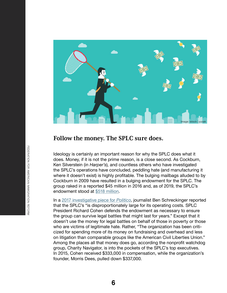

### **Follow the money. The SPLC sure does.**

Ideology is certainly an important reason for why the SPLC does what it does. Money, if it is not the prime reason, is a close second. As Cockburn, Ken Silverstein (in *Harper's*), and countless others who have investigated the SPLC's operations have concluded, peddling hate (and manufacturing it where it doesn't exist) is highly profitable. The bulging mailbags alluded to by Cockburn in 2009 have resulted in a bulging endowment for the SPLC. The group raked in a reported \$45 million in 2016 and, as of 2019, the SPLC's endowment stood at [\\$518 million](https://freebeacon.com/issues/southern-poverty-surpasses-half-billion-in-assets-121-million-now-offshore/).

In a [2017 investigative piece for](https://www.politico.com/magazine/story/2017/06/28/morris-dees-splc-trump-southern-poverty-law-center-215312) *Politico*, journalist Ben Schreckinger reported that the SPLC's "is disproportionately large for its operating costs. SPLC President Richard Cohen defends the endowment as necessary to ensure the group can survive legal battles that might last for years." Except that it doesn't use the money for legal battles on behalf of those in poverty or those who are victims of legitimate hate. Rather, "The organization has been criticized for spending more of its money on fundraising and overhead and less on litigation than comparable groups like the American Civil Liberties Union." Among the places all that money does go, according the nonprofit watchdog group, Charity Navigator, is into the pockets of the SPLC's top executives. In 2015, Cohen received \$333,000 in compensation, while the organization's founder, Morris Dees, pulled down \$337,000.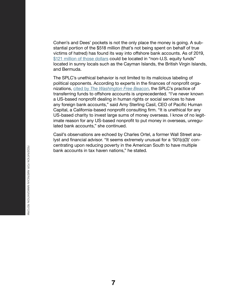Cohen's and Dees' pockets is not the only place the money is going. A substantial portion of the \$518 million (that's not being spent on behalf of true victims of hatred) has found its way into offshore bank accounts. As of 2019, [\\$121 million of those dollars](https://freebeacon.com/issues/southern-poverty-surpasses-half-billion-in-assets-121-million-now-offshore/) could be located in "non-U.S. equity funds" located in sunny locals such as the Cayman Islands, the British Virgin Islands, and Bermuda.

The SPLC's unethical behavior is not limited to its malicious labeling of political opponents. According to experts in the finances of nonprofit organizations, cited by *[The Washington Free Be](https://freebeacon.com/issues/southern-poverty-law-center-transfers-millions-in-cash-to-offshore-entities/)acon*, the SPLC's practice of transferring funds to offshore accounts is unprecedented. "I've never known a US-based nonprofit dealing in human rights or social services to have any foreign bank accounts," said Amy Sterling Casil, CEO of Pacific Human Capital, a California-based nonprofit consulting firm. "It is unethical for any US-based charity to invest large sums of money overseas. I know of no legitimate reason for any US-based nonprofit to put money in overseas, unregulated bank accounts," she continued.

Casil's observations are echoed by Charles Ortel, a former Wall Street analyst and financial advisor. "It seems extremely unusual for a '501(c)(3)' concentrating upon reducing poverty in the American South to have multiple bank accounts in tax haven nations," he stated.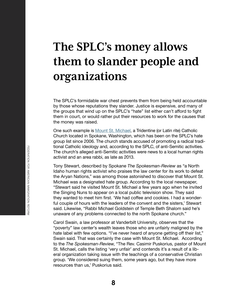## <span id="page-9-0"></span>**The SPLC's money allows them to slander people and organizations**

The SPLC's formidable war chest prevents them from being held accountable by those whose reputations they slander. Justice is expensive, and many of the groups that wind up on the SPLC's "hate" list either can't afford to fight them in court, or would rather put their resources to work for the causes that the money was raised.

One such example is [Mount St. Michael](http://www.spokesman.com/stories/2013/mar/09/hate-groups-watchdog-has-mount-st-michael-on-list/), a Tridentine (or Latin rite) Catholic Church located in Spokane, Washington, which has been on the SPLC's hate group list since 2006. The church stands accused of promoting a radical traditional Catholic ideology and, according to the SPLC, of anti-Semitic activities. The church's alleged anti-Semitic activities were news to a local human rights activist and an area rabbi, as late as 2013.

Tony Stewart, described by Spokane *The Spokesman-Review* as "a North Idaho human rights activist who praises the law center for its work to defeat the Aryan Nations," was among those astonished to discover that Mount St. Michael was a designated hate group. According to the local newspaper, "Stewart said he visited Mount St. Michael a few years ago when he invited the Singing Nuns to appear on a local public television show. They said they wanted to meet him first. 'We had coffee and cookies. I had a wonderful couple of hours with the leaders of the convent and the sisters,' Stewart said. Likewise, "Rabbi Michael Goldstein of Temple Beth Shalom said he's unaware of any problems connected to the north Spokane church."

Carol Swain, a law professor at Vanderbilt University, observes that the "poverty" law center's wealth leaves those who are unfairly maligned by the hate label with few options. "I've never heard of anyone getting off their list," Swain said. That was certainly the case with Mount St. Michael. According to the *The Spokesman-Review*, "The Rev. Casimir Puskorius, pastor of Mount St. Michael, calls the listing 'very unfair' and contends it's a result of a liberal organization taking issue with the teachings of a conservative Christian group. 'We considered suing them, some years ago, but they have more resources than us,' Puskorius said.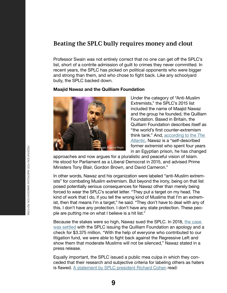### **Beating the SPLC bully requires money and clout**

Professor Swain was not entirely correct that no one can get off the SPLC's list, short of a contrite admission of guilt to crimes they never committed. In recent years, the SPLC has picked on political opponents who were bigger and strong than them, and who chose to fight back. Like any schoolyard bully, the SPLC backed down.

#### **Maajid Nawaz and the Quilliam Foundation**



Under the category of "Anti-Muslim Extremists," the SPLC's 2015 list included the name of Maajid Nawaz and the group he founded, the Quilliam Foundation. Based in Britain, the Quilliam Foundation describes itself as "the world's first counter-extremism think tank." And, [according to the](https://www.theatlantic.com/international/archive/2016/10/maajid-nawaz-splc-anti-muslim-extremist/505685/) *The [Atlantic](https://www.theatlantic.com/international/archive/2016/10/maajid-nawaz-splc-anti-muslim-extremist/505685/)*, Nawaz is a "self-described former extremist who spent four years in an Egyptian prison, he has changed

approaches and now argues for a pluralistic and peaceful vision of Islam. He stood for Parliament as a Liberal Democrat in 2015, and advised Prime Ministers Tony Blair, Gordon Brown, and David Cameron."

In other words, Nawaz and his organization were labeled "anti-Muslim extremists" for combating Muslim extremism. But beyond the irony, being on that list posed potentially serious consequences for Nawaz other than merely being forced to wear the SPLC's scarlet letter. "They put a target on my head. The kind of work that I do, if you tell the wrong kind of Muslims that I'm an extremist, then that means I'm a target," he said. "They don't have to deal with any of this. I don't have any protection. I don't have any state protection. These people are putting me on what I believe is a hit list."

Because the stakes were so high, Nawaz sued the SPLC. In 2018, [the case](https://www.quilliaminternational.com/southern-poverty-law-center-inc-admits-it-was-wrong/)  [was settled](https://www.quilliaminternational.com/southern-poverty-law-center-inc-admits-it-was-wrong/) with the SPLC issuing the Quilliam Foundation an apology and a check for \$3.375 million. "With the help of everyone who contributed to our litigation fund, we were able to fight back against the Regressive Left and show them that moderate Muslims will not be silenced," Nawaz stated in a press release.

Equally important, the SPLC issued a public mea culpa in which they conceded that their research and subjective criteria for labeling others as haters is flawed. [A statement by SPLC president Richard Cohen](https://www.splcenter.org/splc-statement-video) read: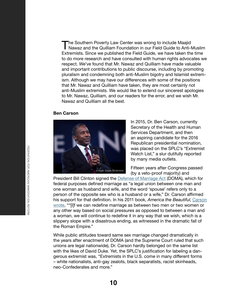The Southern Poverty Law Center was wrong to include Maajid<br>Nawaz and the Quilliam Foundation in our Field Guide to Anti-Muslim<br>Extremiste, Since we published the Field Cuide, we have taken the time Extremists. Since we published the Field Guide, we have taken the time to do more research and have consulted with human rights advocates we respect. We've found that Mr. Nawaz and Quilliam have made valuable and important contributions to public discourse, including by promoting pluralism and condemning both anti-Muslim bigotry and Islamist extremism. Although we may have our differences with some of the positions that Mr. Nawaz and Quilliam have taken, they are most certainly not anti-Muslim extremists. We would like to extend our sincerest apologies to Mr. Nawaz, Quilliam, and our readers for the error, and we wish Mr. Nawaz and Quilliam all the best.

#### **Ben Carson**



In 2015, Dr. Ben Carson, currently Secretary of the Health and Human Services Department, and then an aspiring candidate for the 2016 Republican presidential nomination, was placed on the SPLC's "Extremist Watch List," a slur dutifully reported by many media outlets.

Fifteen years after Congress passed (by a veto-proof majority) and

President Bill Clinton signed the **Defense of Marriage Act** (DOMA), which for federal purposes defined marriage as "a legal union between one man and one woman as husband and wife, and the word 'spouse' refers only to a person of the opposite sex who is a husband or a wife," Dr. Carson affirmed his support for that definition. In his 2011 book, *America the Beautiful*, [Carson](https://www.washingtontimes.com/news/2015/feb/8/ben-carson-placed-on-southern-poverty-law-centers-/)  [wrote](https://www.washingtontimes.com/news/2015/feb/8/ben-carson-placed-on-southern-poverty-law-centers-/), ""[I]f we can redefine marriage as between two men or two women or any other way based on social pressures as opposed to between a man and a woman, we will continue to redefine it in any way that we wish, which is a slippery slope with a disastrous ending, as witnessed in the dramatic fall of the Roman Empire."

While public attitudes toward same sex marriage changed dramatically in the years after enactment of DOMA (and the Supreme Court ruled that such unions are legal nationwide), Dr. Carson hardly belonged on the same list with the likes of David Duke. Yet, the SPLC's justification for labeling a dangerous extremist was, "Extremists in the U.S. come in many different forms – white nationalists, anti-gay zealots, black separatists, racist skinheads, neo-Confederates and more."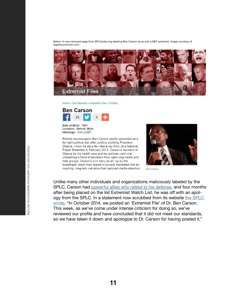Below: A now-removed page from SPLCenter.org labeling Ben Carson as an anti-LGBT extremist. Image courtesy of legalinsurrection.com



Home » Get Informed » Extremist Files » Profiles



Date of Birth: 1951 Location: Detroit, Mich. Ideology: Anti-LGBT

Retired neurosurgeon Ben Carson rapidly ascended as a far-right political star after publicly scolding President Obama, whom he sat a few feet away from, at a National Prayer Breakfast in February 2013. Carson's reproach of Obama for his health care and tax policies went viral, unleashing a flood of adulation from right-wing media and hate groups. Carson's own story as an "up by the bootstraps" black man reared in poverty translated into an inspiring, magnetic narrative that captured media attention.



Ben Carson

Unlike many other individuals and organizations maliciously labeled by the SPLC, Carson had [powerful allies who rallied to his defense](https://legalinsurrection.com/2015/02/dr-ben-carson-put-on-extremist-watch-list-by-splc/), and four months after being placed on the list Extremist Watch List, he was off with an apology from the SPLC. In a statement now scrubbed from its website [the SPLC](https://www.foxnews.com/politics/southern-poverty-law-center-apologizes-to-ben-carson-takes-him-off-extremist-list)  [wrote](https://www.foxnews.com/politics/southern-poverty-law-center-apologizes-to-ben-carson-takes-him-off-extremist-list), "In October 2014, we posted an 'Extremist File' of Dr. Ben Carson. This week, as we've come under intense criticism for doing so, we've reviewed our profile and have concluded that it did not meet our standards, so we have taken it down and apologize to Dr. Carson for having posted it."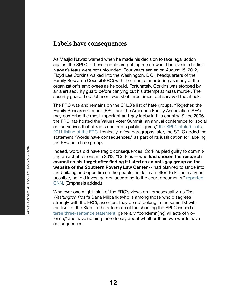### **Labels have consequences**

As Maajid Nawaz warned when he made his decision to take legal action against the SPLC, "These people are putting me on what I believe is a hit list." Nawaz's fears were not unfounded. Four years earlier, on August 15, 2012, Floyd Lee Corkins walked into the Washington, D.C., headquarters of the Family Research Council (FRC) with the intent of murdering as many of the organization's employees as he could. Fortunately, Corkins was stopped by an alert security guard before carrying out his attempt at mass murder. The security guard, Leo Johnson, was shot three times, but survived the attack.

The FRC was and remains on the SPLC's list of hate groups. "Together, the Family Research Council (FRC) and the American Family Association (AFA) may comprise the most important anti-gay lobby in this country. Since 2006, the FRC has hosted the Values Voter Summit, an annual conference for social conservatives that attracts numerous public figures," [the SPLC stated in its](https://www.splcenter.org/20111006/anti-gay-lobby-family-research-council-american-family-association-demonization-lgbt-people)  [2011 listing of the FRC.](https://www.splcenter.org/20111006/anti-gay-lobby-family-research-council-american-family-association-demonization-lgbt-people) Ironically, a few paragraphs later, the SPLC added the statement "Words have consequences," as part of its justification for labeling the FRC as a hate group.

Indeed, words did have tragic consequences. Corkins pled guilty to committing an act of terrorism in 2013. "Corkins -- who **had chosen the research council as his target after finding it listed as an anti-gay group on the website of the Southern Poverty Law Center** -- had planned to stride into the building and open fire on the people inside in an effort to kill as many as possible, he told investigators, according to the court documents," [reported](https://www.cnn.com/2013/02/06/justice/dc-family-research-council-shooting/index.html)  [CNN.](https://www.cnn.com/2013/02/06/justice/dc-family-research-council-shooting/index.html) (Emphasis added.)

Whatever one might think of the FRC's views on homosexuality, as *The Washington Post*'s Dana Milbank (who is among those who disagrees strongly with the FRC), asserted, they do not belong in the same list with the likes of the Klan. In the aftermath of the shooting the SPLC issued a [terse three-sentence statement](https://www.splcenter.org/hatewatch/2012/08/15/splc-statement-shooting-family-research-council), generally "condemn[ing] all acts of violence," and have nothing more to say about whether their own words have consequences.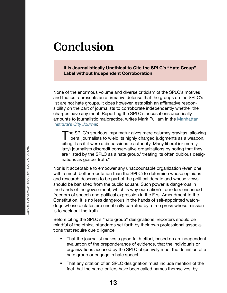## <span id="page-14-0"></span>**Conclusion**

**It is Journalistically Unethical to Cite the SPLC's "Hate Group" Label without Independent Corroboration**

None of the enormous volume and diverse criticism of the SPLC's motives and tactics represents an affirmative defense that the groups on the SPLC's list are not hate groups. It does however, establish an affirmative responsibility on the part of journalists to corroborate independently whether the charges have any merit. Reporting the SPLC's accusations uncritically amounts to journalistic malpractice, writes Mark Pulliam in the [Manhattan](https://www.city-journal.org/html/demagogic-bully-15370.html)  Institute's *[City Journal](https://www.city-journal.org/html/demagogic-bully-15370.html)*:

The SPLC's spurious imprimatur gives mere calumny gravitas, allowing<br>liberal journalists to wield its highly charged judgments as a weapon,<br>eiting it as if it were a dispessionate authority. Many liberal (or marsh). citing it as if it were a dispassionate authority. Many liberal (or merely lazy) journalists discredit conservative organizations by noting that they are 'listed by the SPLC as a hate group,' treating its often dubious designations as gospel truth."

Nor is it acceptable to empower any unaccountable organization (even one with a much better reputation than the SPLC) to determine whose opinions and research deserves to be part of the political debate and whose views should be banished from the public square. Such power is dangerous in the hands of the government, which is why our nation's founders enshrined freedom of speech and political expression in the First Amendment to the Constitution. It is no less dangerous in the hands of self-appointed watchdogs whose dictates are uncritically parroted by a free press whose mission is to seek out the truth.

Before citing the SPLC's "hate group" designations, reporters should be mindful of the ethical standards set forth by their own professional associations that require due diligence:

- That the journalist makes a good faith effort, based on an independent evaluation of the preponderance of evidence, that the individuals or organizations accused by the SPLC objectively meet the definition of a hate group or engage in hate speech.
- That any citation of an SPLC designation must include mention of the fact that the name-callers have been called names themselves, by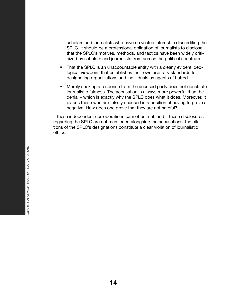scholars and journalists who have no vested interest in discrediting the SPLC. It should be a professional obligation of journalists to disclose that the SPLC's motives, methods, and tactics have been widely criticized by scholars and journalists from across the political spectrum.

- That the SPLC is an unaccountable entity with a clearly evident ideological viewpoint that establishes their own arbitrary standards for designating organizations and individuals as agents of hatred.
- Merely seeking a response from the accused party does not constitute journalistic fairness. The accusation is always more powerful than the denial – which is exactly why the SPLC does what it does. Moreover, it places those who are falsely accused in a position of having to prove a negative. How does one prove that they are not hateful?

If these independent corroborations cannot be met, and if these disclosures regarding the SPLC are not mentioned alongside the accusations, the citations of the SPLC's designations constitute a clear violation of journalistic ethics.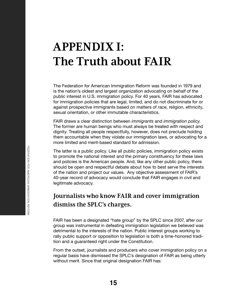## <span id="page-16-0"></span>**APPENDIX I: The Truth about FAIR**

The Federation for American Immigration Reform was founded in 1979 and is the nation's oldest and largest organization advocating on behalf of the public interest in U.S. immigration policy. For 40 years, FAIR has advocated for immigration policies that are legal, limited, and do not discriminate for or against prospective immigrants based on matters of race, religion, ethnicity, sexual orientation, or other immutable characteristics.

FAIR draws a clear distinction between *immigrants* and *immigration policy*. The former are human beings who must always be treated with respect and dignity. Treating all people respectfully, however, does not preclude holding them accountable when they violate our immigration laws, or advocating for a more limited and merit-based standard for admission.

The latter is a public policy. Like all public policies, immigration policy exists to promote the national interest and the primary constituency for these laws and policies is the American people. And, like any other public policy, there should be open and respectful debate about how to best serve the interests of the nation and project our values. Any objective assessment of FAIR's 40-year record of advocacy would conclude that FAIR engages in civil and legitimate advocacy.

## **Journalists who know FAIR and cover immigration dismiss the SPLC's charges.**

FAIR has been a designated "hate group" by the SPLC since 2007, after our group was instrumental in defeating immigration legislation we believed was detrimental to the interests of the nation. Public interest groups working to rally public support or opposition to legislation is both a time-honored tradition and a guaranteed right under the Constitution.

From the outset, journalists and producers who cover immigration policy on a regular basis have dismissed the SPLC's designation of FAIR as being utterly without merit. Since that original designation FAIR has: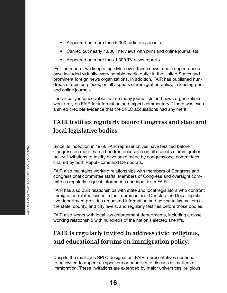- **Appeared on more than 5,000 radio broadcasts.**
- Carried out nearly 4,000 interviews with print and online journalists.
- Appeared on more than 1,300 TV news reports.

(For the record, we keep a log.) Moreover, these news media appearances have included virtually every notable media outlet in the United States and prominent foreign news organizations. In addition, FAIR has published hundreds of opinion pieces, on all aspects of immigration policy, in leading print and online journals.

It is virtually inconceivable that so many journalists and news organizations would rely on FAIR for information and expert commentary if there was even a shred credible evidence that the SPLC accusations had any merit.

## **FAIR testifies regularly before Congress and state and local legislative bodies.**

Since its inception in 1979, FAIR representatives have testified before Congress on more than a hundred occasions on all aspects of immigration policy. Invitations to testify have been made by congressional committees chaired by both Republicans and Democrats.

FAIR also maintains working relationships with members of Congress and congressional committee staffs. Members of Congress and oversight committees regularly request information and input from FAIR.

FAIR has also built relationships with state and local legislators who confront immigration related issues in their communities. Our state and local legislative department provides requested information and advice to lawmakers at the state, county, and city levels, and regularly testifies before those bodies.

FAIR also works with local law enforcement departments, including a close working relationship with hundreds of the nation's elected sheriffs.

## **FAIR is regularly invited to address civic, religious, and educational forums on immigration policy.**

Despite the malicious SPLC designation, FAIR representatives continue to be invited to appear as speakers or panelists to discuss all matters of immigration. These invitations are extended by major universities, religious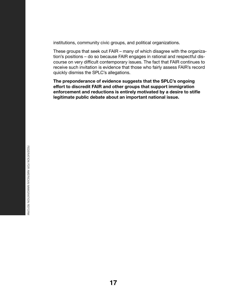institutions, community civic groups, and political organizations.

These groups that seek out FAIR – many of which disagree with the organization's positions – do so because FAIR engages in rational and respectful discourse on very difficult contemporary issues. The fact that FAIR continues to receive such invitation is evidence that those who fairly assess FAIR's record quickly dismiss the SPLC's allegations.

**The preponderance of evidence suggests that the SPLC's ongoing effort to discredit FAIR and other groups that support immigration enforcement and reductions is entirely motivated by a desire to stifle legitimate public debate about an important national issue.**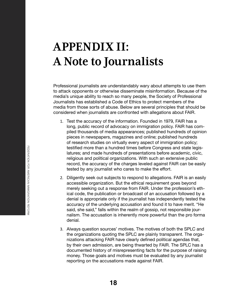# <span id="page-19-0"></span>**APPENDIX II: A Note to Journalists**

Professional journalists are understandably wary about attempts to use them to attack opponents or otherwise disseminate misinformation. Because of the media's unique ability to reach so many people, the Society of Professional Journalists has established a Code of Ethics to protect members of the media from those sorts of abuse. Below are several principles that should be considered when journalists are confronted with allegations about FAIR.

- 1. Test the accuracy of the information. Founded in 1979, FAIR has a long, public record of advocacy on immigration policy. FAIR has compiled thousands of media appearances; published hundreds of opinion pieces in newspapers, magazines and online; published hundreds of research studies on virtually every aspect of immigration policy; testified more than a hundred times before Congress and state legislatures; and made hundreds of presentations before academic, civic, religious and political organizations. With such an extensive public record, the accuracy of the charges leveled against FAIR can be easily tested by any journalist who cares to make the effort.
- 2. Diligently seek out subjects to respond to allegations. FAIR is an easily accessible organization. But the ethical requirement goes beyond merely seeking out a response from FAIR. Under the profession's ethical code, the publication or broadcast of an accusation followed by a denial is appropriate only if the journalist has independently tested the accuracy of the underlying accusation and found it to have merit. "He said, she said," falls within the realm of gossip, not responsible journalism. The accusation is inherently more powerful than the pro forma denial.
- 3. Always question sources' motives. The motives of both the SPLC and the organizations quoting the SPLC are plainly transparent. The organizations attacking FAIR have clearly defined political agendas that, by their own admission, are being thwarted by FAIR. The SPLC has a documented history of misrepresenting facts for the purpose of raising money. Those goals and motives must be evaluated by any journalist reporting on the accusations made against FAIR.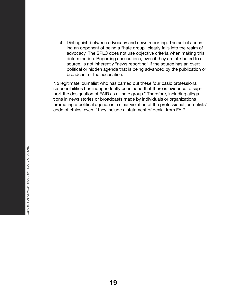4. Distinguish between advocacy and news reporting. The act of accusing an opponent of being a "hate group" clearly falls into the realm of advocacy. The SPLC does not use objective criteria when making this determination. Reporting accusations, even if they are attributed to a source, is not inherently "news reporting" if the source has an overt political or hidden agenda that is being advanced by the publication or broadcast of the accusation.

No legitimate journalist who has carried out these four basic professional responsibilities has independently concluded that there is evidence to support the designation of FAIR as a "hate group." Therefore, including allegations in news stories or broadcasts made by individuals or organizations promoting a political agenda is a clear violation of the professional journalists' code of ethics, even if they include a statement of denial from FAIR.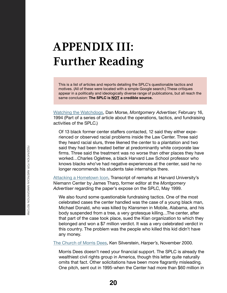## <span id="page-21-0"></span>**APPENDIX III: Further Reading**

This is a list of articles and reports detailing the SPLC's questionable tactics and motives. (All of these were located with a simple Google search.) These critiques appear in a politically and ideologically diverse range of publications, but all reach the same conclusion: **The SPLC is NOT a credible source.**

[Watching the Watchdogs](https://rkeefe57.wordpress.com/montgomery-advertiser-series/), Dan Morse, *Montgomery Advertiser*, February 16, 1994 (Part of a series of article about the operations, tactics, and fundraising activities of the SPLC.)

Of 13 black former center staffers contacted, 12 said they either experienced or observed racial problems inside the Law Center. Three said they heard racial slurs, three likened the center to a plantation and two said they had been treated better at predominantly white corporate law firms. Three said the treatment was no worse than other places they have worked…Charles Ogletree, a black Harvard Law School professor who knows blacks who've had negative experiences at the center, said he no longer recommends his students take internships there.

[Attacking a Hometown Icon](http://niemanwatchdog.org/index.cfm?fuseaction=about.Panel%20Discussion:%20Nonprofit%20Organizations%20May%2099&emailthis=sendtoafriend), Transcript of remarks at Harvard University's Niemann Center by James Tharp, former editor at the *Montgomery Advertiser* regarding the paper's expose on the SPLC, May 1999.

We also found some questionable fundraising tactics. One of the most celebrated cases the center handled was the case of a young black man, Michael Donald, who was killed by Klansmen in Mobile, Alabama, and his body suspended from a tree, a very grotesque killing…The center, after that part of the case took place, sued the Klan organization to which they belonged and won a \$7 million verdict. It was a very celebrated verdict in this country. The problem was the people who killed this kid didn't have any money.

[The Church of Morris Dees](http://web.archive.org/web/20161204160604/http:/www.americanpatrol.com/SPLC/ChurchofMorrisDees001100.html), Ken Silverstein, *Harper's*, November 2000.

Morris Dees doesn't need your financial support. The SPLC is already the wealthiest civil rights group in America, though this letter quite naturally omits that fact. Other solicitations have been more flagrantly misleading. One pitch, sent out in 1995-when the Center had more than \$60 million in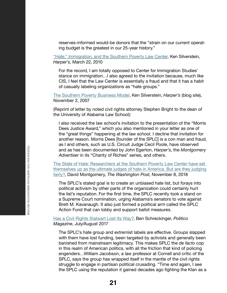reserves-informed would-be donors that the "strain on our current operating budget is the greatest in our 25-year history."

["Hate," Immigration, and the Southern Poverty Law Center](https://harpers.org/blog/2010/03/hate-immigration-and-the-southern-poverty-law-center/), Ken Silverstein, *Harper's*, March 22, 2010

For the record, I am totally opposed to Center for Immigration Studies' stance on immigration…I also agreed to the invitation because, much like CIS, I feel that the Law Center is essentially a fraud and that it has a habit of casually labeling organizations as "hate groups."

[The Southern Poverty Business Model](https://harpers.org/blog/2007/11/the-southern-poverty-business-model/), Ken Silverstein, *Harper's* (blog site), November 2, 2007

(Reprint of letter by noted civil rights attorney Stephen Bright to the dean of the University of Alabama Law School):

I also received the law school's invitation to the presentation of the "Morris Dees Justice Award," which you also mentioned in your letter as one of the "great things" happening at the law school. I decline that invitation for another reason. Morris Dees [founder of the SPLC] is a con man and fraud, as I and others, such as U.S. Circuit Judge Cecil Poole, have observed and as has been documented by John Egerton, *Harper's*, the *Montgomery Advertiser* in its "Charity of Riches" series, and others.

[The State of Hate: Researchers at the Southern Poverty Law Center have set](https://www.washingtonpost.com/news/magazine/wp/2018/11/08/feature/is-the-southern-poverty-law-center-judging-hate-fairly/?utm_term=.c0fe61ee9c21)  [themselves up as the ultimate judges of hate in America. But are they judging](https://www.washingtonpost.com/news/magazine/wp/2018/11/08/feature/is-the-southern-poverty-law-center-judging-hate-fairly/?utm_term=.c0fe61ee9c21)  [fairly?,](https://www.washingtonpost.com/news/magazine/wp/2018/11/08/feature/is-the-southern-poverty-law-center-judging-hate-fairly/?utm_term=.c0fe61ee9c21) David Montgomery, *The Washington Post*, November 8, 2018

The SPLC's stated goal is to create an unbiased hate list, but forays into political activism by other parts of the organization could certainly hurt the list's reputation. For the first time, the SPLC recently took a stand on a Supreme Court nomination, urging Alabama's senators to vote against Brett M. Kavanaugh. It also just formed a political arm called the SPLC Action Fund that can lobby and support ballot measures.

#### [Has a Civil Rights Stalwart Lost Its Way?](https://www.politico.com/magazine/story/2017/06/28/morris-dees-splc-trump-southern-poverty-law-center-215312), Ben Schreckinger, *Politico Magazine*, July/August 2017

The SPLC's hate group and extremist labels are effective. Groups slapped with them have lost funding, been targeted by activists and generally been banished from mainstream legitimacy. This makes SPLC the *de facto* cop in this realm of American politics, with all the friction that kind of policing engenders…William Jacobson, a law professor at Cornell and critic of the SPLC, says the group has wrapped itself in the mantle of the civil rights struggle to engage in partisan political crusading. "Time and again, I see the SPLC using the reputation it gained decades ago fighting the Klan as a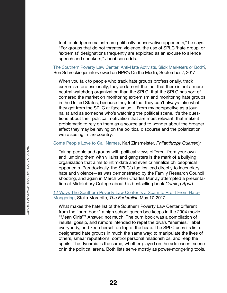tool to bludgeon mainstream politically conservative opponents," he says. "For groups that do not threaten violence, the use of SPLC 'hate group' or 'extremist' designations frequently are exploited as an excuse to silence speech and speakers," Jacobson adds.

#### [The Southern Poverty Law Center: Anti-Hate Activists, Slick Marketers or Both?,](https://www.wnycstudios.org/story/southern-poverty-law-center-anti-hate-slick-marketers-both) Ben Schreckinger interviewed on NPR's On the Media, September 7, 2017

When you talk to people who track hate groups professionally, track extremism professionally, they do lament the fact that there is not a more neutral watchdog organization than the SPLC, that the SPLC has sort of cornered the market on monitoring extremism and monitoring hate groups in the United States, because they feel that they can't always take what they get from the SPLC at face value… From my perspective as a journalist and as someone who's watching the political scene, it's the questions about their political motivation that are most relevant, that make it problematic to rely on them as a source and to wonder about the broader effect they may be having on the political discourse and the polarization we're seeing in the country.

### [Some People Love to Call Names](https://www.philanthropyroundtable.org/philanthropy-magazine/article/some-people-love-to-call-names), Karl Zinsmeister, *Philanthropy Quarterly*

Taking people and groups with political views different from your own and lumping them with villains and gangsters is the mark of a bullying organization that aims to intimidate and even criminalize philosophical opponents. Paradoxically, the SPLC's tactics lead directly to incendiary hate and violence—as was demonstrated by the Family Research Council shooting, and again in March when Charles Murray attempted a presentation at Middlebury College about his bestselling book *Coming Apart*.

#### [12 Ways The Southern Poverty Law Center Is a Scam to Profit From Hate-](http://thefederalist.com/2017/05/17/12-ways-southern-poverty-law-center-scam-profit-hate-mongering/)[Mongering](http://thefederalist.com/2017/05/17/12-ways-southern-poverty-law-center-scam-profit-hate-mongering/), Stella Morabito, *The Federalist*, May 17, 2017

What makes the hate list of the Southern Poverty Law Center different from the "burn book" a high school queen bee keeps in the 2004 movie "Mean Girls"? Answer: not much. The burn book was a compilation of insults, gossip, and rumors intended to repel the diva's "enemies," label everybody, and keep herself on top of the heap. The SPLC uses its list of designated hate groups in much the same way: to manipulate the lives of others, smear reputations, control personal relationships, and reap the spoils. The dynamic is the same, whether played on the adolescent scene or in the political arena. Both lists serve mostly as power-mongering tools.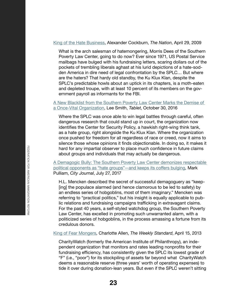#### [King of the Hate Business](https://www.thenation.com/article/king-hate-business/), Alexander Cockburn, *The Nation*, April 29, 2009

What is the arch salesman of hatemongering, Morris Dees of the Southern Poverty Law Center, going to do now? Ever since 1971, US Postal Service mailbags have bulged with his fundraising letters, scaring dollars out of the pockets of trembling liberals aghast at his lurid depictions of a hate-sodden America in dire need of legal confrontation by the SPLC… But where are the haters? That hardy old standby, the Ku Klux Klan, despite the SPLC's predictable howls about an uptick in its chapters, is a moth-eaten and depleted troupe, with at least 10 percent of its members on the government payroll as informants for the FBI.

### [A New Blacklist from the Southern Poverty Law Center Marks the Demise of](https://www.tabletmag.com/jewish-news-and-politics/216494/southern-poverty-law-center-blacklist)  [a Once-Vital Organization,](https://www.tabletmag.com/jewish-news-and-politics/216494/southern-poverty-law-center-blacklist) Lee Smith, *Tablet*, October 30, 2016

Where the SPLC was once able to win legal battles through careful, often dangerous research that could stand up in court, the organization now identifies the Center for Security Policy, a hawkish right-wing think tank, as a hate group, right alongside the Ku Klux Klan. Where the organization once pushed for freedom for all regardless of race or creed, now it aims to silence those whose opinions it finds objectionable. In doing so, it makes it hard for any impartial observer to place much confidence in future claims about groups and individuals that may actually be dangerous.

[A Demagogic Bully: The Southern Poverty Law Center demonizes respectable](https://www.city-journal.org/html/demagogic-bully-15370.html)  [political opponents as "hate groups"—and keeps its coffers bulging](https://www.city-journal.org/html/demagogic-bully-15370.html), Mark Pulliam, *City Journal*, July 27, 2017

H.L. Mencken described the secret of successful demagoguery as "keep- [ing] the populace alarmed (and hence clamorous to be led to safety) by an endless series of hobgoblins, most of them imaginary." Mencken was referring to "practical politics," but his insight is equally applicable to public relations and fundraising campaigns trafficking in extravagant claims. For the past 40 years, a self-styled watchdog group, the Southern Poverty Law Center, has excelled in promoting such unwarranted alarm, with a politicized series of hobgoblins, in the process amassing a fortune from its credulous donors.

[King of Fear Mongers,](https://www.weeklystandard.com/charlotte-allen/king-of-fearmongers) Charlotte Allen, *The Weekly Standard*, April 15, 2013

CharityWatch (formerly the American Institute of Philanthropy), an independent organization that monitors and rates leading nonprofits for their fundraising efficiency, has consistently given the SPLC its lowest grade of "F" (i.e., "poor") for its stockpiling of assets far beyond what CharityWatch deems a reasonable reserve (three years' worth of operating expenses) to tide it over during donation-lean years. But even if the SPLC weren't sitting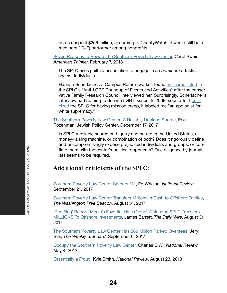on an unspent \$256 million, according to CharityWatch, it would still be a mediocre ("C+") performer among nonprofits.

[Seven Reasons to Beware the Southern Poverty Law Center,](https://www.americanthinker.com/articles/2018/02/seven_reasons_to_beware_the_southern_poverty_law_center.html) Carol Swain, *American Thinker*, February 7, 2018

The SPLC uses guilt by association to engage in *ad hominem* attacks against individuals.

Hannah Scherlacher, a Campus Reform worker, found [her name listed](https://urldefense.proofpoint.com/v2/url?u=https-3A__www.splcenter.org_hatewatch_2017_08_02_anti-2Dlgbt-2Droundup-2Devents-2Dand-2Dactivities-2D8217&d=DwMFaQ&c=euGZstcaTDllvimEN8b7jXrwqOf-v5A_CdpgnVfiiMM&r=kbfUrS8YkonItORlsi8AHQ&m=LIMfS_ovZSnkPSE1yNcUOOFUCFTBUc9PLWYqt6BsNSQ&s=6v5Fn29LW-RtIMUqkDATEs97m8WaGu5b98_epqoj284&e=) in the SPLC's "Anti-LGBT Roundup of Events and Activities" after the conservative Family Research Council interviewed her. Surprisingly, Scherlacher's interview had nothing to do with LGBT issues. In 2009, soon after I [criti](https://urldefense.proofpoint.com/v2/url?u=https-3A__www.huffingtonpost.com_carol-2Dm-2Dswain_mission-2Dcreep-2Dand-2Dthe-2Dsou-5Fb-5F255029.html&d=DwMFaQ&c=euGZstcaTDllvimEN8b7jXrwqOf-v5A_CdpgnVfiiMM&r=kbfUrS8YkonItORlsi8AHQ&m=LIMfS_ovZSnkPSE1yNcUOOFUCFTBUc9PLWYqt6BsNSQ&s=cWGxsJVxDFQtfSYGC_KH4cYVhcUd-tomD-AOdAXm268&e=)[cized](https://urldefense.proofpoint.com/v2/url?u=https-3A__www.huffingtonpost.com_carol-2Dm-2Dswain_mission-2Dcreep-2Dand-2Dthe-2Dsou-5Fb-5F255029.html&d=DwMFaQ&c=euGZstcaTDllvimEN8b7jXrwqOf-v5A_CdpgnVfiiMM&r=kbfUrS8YkonItORlsi8AHQ&m=LIMfS_ovZSnkPSE1yNcUOOFUCFTBUc9PLWYqt6BsNSQ&s=cWGxsJVxDFQtfSYGC_KH4cYVhcUd-tomD-AOdAXm268&e=) the SPLC for having mission creep, it labeled me "an apologist for white supremac[y."](https://urldefense.proofpoint.com/v2/url?u=https-3A__www.wsj.com_articles_what-2Dits-2Dlike-2Dto-2Dbe-2Dsmeared-2Dby-2Dthe-2Dsouthern-2Dpoverty-2Dlaw-2Dcenter-2D1505171221&d=DwMFaQ&c=euGZstcaTDllvimEN8b7jXrwqOf-v5A_CdpgnVfiiMM&r=kbfUrS8YkonItORlsi8AHQ&m=LIMfS_ovZSnkPSE1yNcUOOFUCFTBUc9PLWYqt6BsNSQ&s=hgN3Ri0ybyr0xgbCFBc7THgaAZTGcbyLGSEUJtfcXm4&e=)

[The Southern Poverty Law Center: A Reliably Dubious Source](https://www.jewishpolicycenter.org/2017/12/17/18072/), Eric Rozenman, Jewish Policy Center, December 17, 2017

Is SPLC a reliable source on bigotry and hatred in the United States, a money-raising machine, or combination of both? Does it rigorously define and uncompromisingly expose prejudiced individuals and groups, or conflate them with the center's political opponents? Due diligence by journalists seems to be required.

## **Additional criticisms of the SPLC:**

[Southern Poverty Law Center Smears Me](https://www.nationalreview.com/bench-memos/southern-poverty-law-center-transgender-smear/), Ed Whelan, *National Review*, September 21, 2017

[Southern Poverty Law Center Transfers Millions in Cash to Offshore Entities](https://freebeacon.com/issues/southern-poverty-law-center-transfers-millions-in-cash-to-offshore-entities/), *The Washington Free Beacon*, August 31, 2017

['Red Flag' Report: Media's Favorite 'Hate Group' Watchdog SPLC Transfers](https://www.dailywire.com/news/20484/red-flag-report-southern-poverty-law-center-james-barrett)  [MILLIONS To Offshore Investments](https://www.dailywire.com/news/20484/red-flag-report-southern-poverty-law-center-james-barrett), James Barrett, *The Daily Wire*, August 31, 2017

[The Southern Poverty Law Center Has \\$69 Million Parked Overseas](https://www.weeklystandard.com/jeryl-bier/the-southern-poverty-law-center-has-69-million-parked-overseas), Jeryl Bier, *The Weekly Standard*, September 6, 2017

[Occupy the Southern Poverty Law Center,](https://www.nationalreview.com/corner/occupy-southern-poverty-law-center-charles-c-w-cooke/) Charles C.W., *National Review*, May 4, 2012

[Essentially a Fraud](https://www.nationalreview.com/magazine/2018/09/10/southern-poverty-law-center-essentially-a-fraud/), Kyle Smith, *National Review*, August 23, 2018